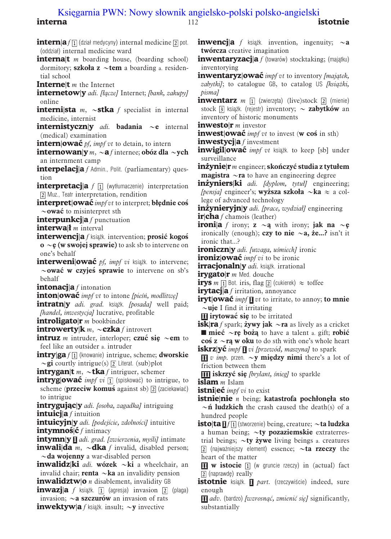## interna international contracts and the contracts of the contracts of the contracts of the contracts of the contracts of the contracts of the contracts of the contracts of the contracts of the contracts of the contracts of [Księgarnia PWN: Nowy słownik angielsko-polski polsko-angielski](http://ksiegarnia.pwn.pl/6917_pozycja.html)<br>interna istotnie

**intern**|a  $f\left[\frac{1}{2}\right]$  (dział medycyny) internal medicine  $\left[\frac{1}{2}\right]$  pot. (oddział) internal medicine ward **interna**|t  $m$  boarding house, (boarding school) dormitory; **szkoła z**  $\sim$ **tem** a boarding a. residential school **Interne** $\mathbf{t}$  *m* the Internet internetow|v adi. [łacze] Internet; [bank, zakupy] online **internista** *m*,  $\sim$ **stka** *f* specialist in internal medicine, internist **internistyczn**|y *adi*. **badania**  $\sim$ **e** internal (medical) examination **intern|owac** *pf, impf vt* to detain, to intern **internowan**|y  $m$ ,  $\sim$ **a** f internee; obo´z dla  $\sim$ ych an internment camp interpelacja f Admin., Polit. (parliamentary) question **interpretacja**  $f$   $\overline{1}$  (wytłumaczenie) interpretation Muz., Teatr interpretation, rendition **interpret|ować** *impf vt* to interpret; **błednie cos**  $\sim$ ować to misinterpret sth interpunkcj $|a f|$  punctuation **interwall** *m* interval interwencj|a f książk. intervention; prosić kogoś  $\mathbf{o} \sim \mathbf{\varepsilon}$  (w swojej sprawie) to ask sb to intervene on one's behalf **interweni|ować** *pf, impf vi* książk. to intervene;  $\sim$ ować w czyjeś sprawie to intervene on sb's behalf **intonacja**  $f$  intonation **inton|ować** impf vt to intone [piesn], modlitwe] intratn|y *adi. grad.* książk. [posada] well paid; [handel, inwestycja] lucrative, profitable **introligato** $|r$  *m* bookbinder **introwerty**| $k$  *m*,  $\sim$ **czka** *f* introvert **intruz** *m* intruder, interloper; **czuć sie**  $\sim$ **em** to feel like an outsider a. intruder **intry**|ga  $f$   $\Pi$  (knowanie) intrigue, scheme; **dworskie**  $\sim$ gi courtly intrigue(s) 2 Literat. (sub)plot **intrygan**|t *m*,  $\sim$ tka *f* intriguer, schemer **intryg** owac<sup> $\vec{v}$ </sup> *impf vi*  $\vec{v}$  (spiskować) to intrigue, to scheme (**przeciw komuś** against sb)  $\boxed{2}$  (zaciekawiać) to intrigue **intrygując**|y *adi. [osoba, zagadka]* intriguing **intuicj** $a$  *f* intuition **intuicyjn|y** adi. [podejście, zdolności] intuitive  $intvmno\$  $\acute{\mathbf{S}}$ <sup> $\acute{c}$  f intimacy</sup> **intymn|y**  $\mathbf{I}$  *adi. grad. [zwierzenia, myśli]* intimate **inwali|da** *m*,  $\sim$ **dka** f invalid, disabled person;  $\sim$ da wojenny a war-disabled person **inwalidz|ki** *adi.* wózek ~ki a wheelchair, an invalid chair; **renta**  $\sim$ **ka** an invalidity pension **inwalidztw|o** *n* disablement, invalidity GB **inwazja** f książk.  $\overline{1}$  (agresja) invasion  $\overline{2}$  (plaga) invasion;  $\sim$ a szczurów an invasion of rats

**inwektyw|a** f książk. insult;  $\sim y$  invective

**inwencja** f książk. invention, ingenuity;  $\sim a$ twórcza creative imagination

**inwentaryzacja** f (towarów) stocktaking; (majatku) inventorying

inwentaryz|ować *impf vt* to inventory [majatek,  $zabytki$ ; to catalogue GB, to catalog US [ $ksiażki$ , pisma]

**inwentarz**  $m \Pi$  (zwierzeta) (live)stock  $\boxed{2}$  (mienie) stock  $\sqrt{3}$  książk. (rejestr) inventory; ~ zabytków an inventory of historic monuments

**inwesto** $\mathbf{r}$  *m* investor

**inwest ować** *impf vt* to invest (w cos in sth)

**inwestycja** f investment

**inwigil|ować** *impf vt* ksiażk. to keep [sb] under surveillance

**inżynie** $\mathbf{r}$  m engineer; **skończyć** studia z tytułem **magistra**  $\sim$ **ra** to have an engineering degree

**inżyniers|ki** adi. [dyplom, tytuł] engineering; [pensja] engineer's; wyzsza szkoła  $\sim$ ka  $\approx$  a college of advanced technology

**inżynieryjn|y** adi. [prace, wydział] engineering  $\mathbf{ir}|\mathbf{cha} f$  chamois (leather)

**ironi**|a f irony; z  $\sim$ a with irony; jak na  $\sim$ e ironically (enough); czy to nie  $\sim a$ , że...? isn't it ironic that...?

ironiczn|y adi. [uwaga, uśmiech] ironic

**ironiz lować** *impf vi* to be ironic

irracjonaln|y *adi*. książk. irrational

 $irvgato|r$  *m* Med. douche

**irys** m  $\boxed{1}$  Bot. iris, flag  $\boxed{2}$  (cukierek)  $\approx$  toffee

**irytacja** f irritation, annoyance

**iryt|owac** *impf*  $\P$  *vt* to irritate, to annoy; to mnie  $\sim$ uje I find it irritating

**III** irytować się to be irritated

**isk|ra** f spark; **żywy jak**  $\sim$ **ra** as lively as a cricket **n** mieć  $\sim$ re bożą to have a talent a. gift; robić cos  $z \sim r$ a w oku to do sth with one's whole heart **iskrz|yć** impf  $\blacksquare$  vi [przewód, maszyna] to spark

 $\Pi$  v *imp*. przen.  $\sim$ **y między nimi** there's a lot of friction between them

**III iskrzyć sie** *[brylant, śnieg]* to sparkle

islam  $m$  Islam

**istni|ec** $\vec{c}$ *impf vi* to exist

**istnie|nie**  $n$  being; katastrofa pochłoneła sto  $\sim$ **n´ ludzkich** the crash caused the death(s) of a hundred people

**isto**|ta  $\prod f$  (stworzenie) being, creature;  $\sim$ ta ludzka a human being;  $\sim$ ty pozaziemskie extraterrestrial beings;  $\sim$ ty żywe living beings a. creatures [2] (najważniejszy element) essence;  $\sim$ ta rzeczy the heart of the matter

**III w istocie**  $\boxed{1}$  (w gruncie rzeczy) in (actual) fact  $\sqrt{2}$  (naprawde) really

**istotnie** książk. **II** part. (rzeczywiście) indeed, sure enough

 $\Pi$  adv. (bardzo) [wzrosnąć, zmienić się] significantly, substantially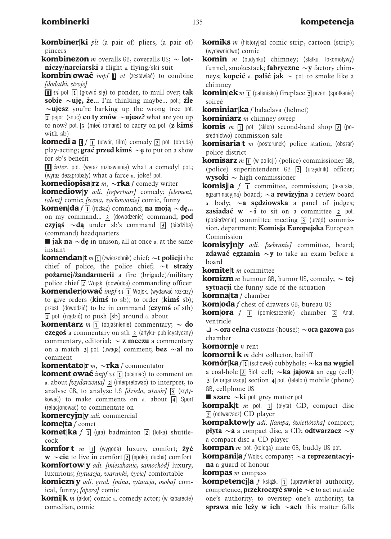| <b>kombiner ki</b> <i>plt</i> (a pair of) pliers, (a pair of)            |  |  |  |  |
|--------------------------------------------------------------------------|--|--|--|--|
| pincers                                                                  |  |  |  |  |
| <b>kombinezon</b> <i>m</i> overalls GB, coveralls US; $\sim$ <b>lot-</b> |  |  |  |  |

niczy/narciarski a flight a. flying/ski suit

**kombin|ować** *impf*  $\mathbf{I}$  vt (zestawiać) to combine [dodatki, stroje]

 $\Pi$  *vi* pot.  $\Pi$  (głowić się) to ponder, to mull over; tak sobie  $\sim$ uje, że... I'm thinking maybe... pot.; źle  $\sim$ ujesz you're barking up the wrong tree pot.  $\sqrt{2}$  pejor. (knuć) **co ty znów**  $\sim$ **ujesz?** what are you up to now? pot.  $\boxed{3}$  (miec´ romans) to carry on pot. (z kims with sb)

**komedia**  $\Pi f$   $\Pi$  (utwór, film) comedy  $\boxed{2}$  pot. (obłuda) play-acting; **grac** przed kims  $\sim$ **e** to put on a show for sb's benefit

**III** *inter*, pot. (wyraz rozbawienia) what a comedy! pot.; (wyraz dezaprobaty) what a farce a. joke! pot.

**komediopisa|rz** *m*,  $\sim$ **rka** f comedy writer

**komediow** *y adi.* [repertuar] comedy; [element, talent] comic; [scena, zachowanie] comic, funny

**komen|da**  $f\Pi$  (rozkaz) command; **na moja**  $\sim$ **de...** on my command...  $\boxed{2}$  (dowodzenie) command; **pod** czyjąś  $\sim$ dą under sb's command  $\overline{3}$  (siedziba) (command) headquarters

**n** jak na  $\sim$ de in unison, all at once a. at the same instant

**komendan**|**t**  $m \Pi$  (zwierzchnik) chief;  $\sim$ **t** policji the chief of police, the police chief;  $\sim t$  strazy pożarnej/żandarmerii a fire (brigade)/military police chief  $\boxed{2}$  Wojsk. (dowódca) commanding officer

**komender|ować** *impf vi* [1] Wojsk. (wydawać rozkazy) to give orders ( $\text{kims}$  to sb); to order ( $\text{kims}$  sb); przest. (dowodzić) to be in command  $(czymś of sth)$ [2] pot. (rządzić) to push [sb] around a. about

**komentarz** *m*  $\overline{1}$  (objaśnienie) commentary;  $\sim$  **do** czegoś a commentary on sth  $\boxed{2}$  (artykuł publicystyczny) commentary, editorial;  $\sim$  **z meczu** a commentary on a match  $\overline{3}$  pot. (uwaga) comment; **bez**  $\sim$ **a!** no comment

**komentato|r**  $m$ ,  $\sim$ **rka** f commentator

**koment|ować** *impf vt*  $\overline{1}$  (oceniac) to comment on a. about [wydarzenia]  $\boxed{2}$  (interpretowac) to interpret, to analyse GB, to analyze US  $\int dzie$ , utwór $\int$  3 (krytykować) to make comments on a. about  $\overline{4}$  Sport (relacjonowac´) to commentate on

**komercyjn|y** adi. commercial

**kome|ta** f comet

**komet|ka** f  $\overline{p}$  (gra) badminton  $\overline{p}$  (lotka) shuttlecock

**komfor|t**  $m \Box$  (wygoda) luxury, comfort; **żyć**  $w \sim$ cie to live in comfort  $\boxed{2}$  (spokój ducha) comfort

**komfortow|y** adi. [mieszkanie, samochód] luxury, luxurious; [sytuacja, warunki, życie] comfortable

**komiczn|y** adi. grad. [mina, sytuacja, osoba] comical, funny; [opera] comic

**komi** $\mathbf{k}$  *m* (aktor) comic a. comedy actor; (w kabarecie) comedian, comic

**komiks** *m* (historyjka) comic strip, cartoon (strip); (wydawnictwo) comic

**komin**  $m$  (budynku) chimney; (statku, lokomotywy) funnel, smokestack; **fabryczne**  $\sim$ **v** factory chimneys; **kopcić** a. **palić jak**  $\sim$  pot. to smoke like a chimney

**komin** $|e k m|$  (palenisko) fireplace  $\boxed{2}$  przen. (spotkanie) soireé

**kominiar|ka** f balaclava (helmet)

**kominiarz**  $m$  chimney sweep

**komis** *m*  $\overline{p}$  pot. (sklep) second-hand shop  $\overline{p}$  (po-´srednictwo) commission sale

**komisarialt** *m* (posterunek) police station; (obszar) police district

**komisarz**  $m \Pi$  (w policji) (police) commissioner GB, (police) superintendent GB <a>[2]</a> (urzędnik) officer; **wysoki**  $\sim$  high commissioner

**komisja** f  $\boxed{1}$  committee, commission; (lekarska, egzaminacyjna) board;  $\sim a$  rewizyjna a review board a. body;  $\sim a$  sedziowska a panel of judges; **zasiadać w**  $\sim$ **i** to sit on a committee  $\boxed{2}$  pot. (posiedzenie) committee meeting  $\boxed{3}$  (urzad) commission, department; Komisja Europejska European Commission

**komisyjn|y** adi. [zebranie] committee, board; **zdawać egzamin**  $\sim$ **y** to take an exam before a board

**komitelt**  $m$  committee

**komizm** *m* humour GB, humor US, comedy;  $\sim$  tej sytuacji the funny side of the situation

**komna** $\tan f$  chamber

**kom|oda** f chest of drawers GB, bureau US

**kom|ora**  $f$   $\boxed{1}$  (pomieszczenie) chamber  $\boxed{2}$  Anat. ventricle

 $\Box \sim$ ora celna customs (house);  $\sim$ ora gazowa gas chamber

**komorn|e**  $n$  rent

**komorni|k** *m* debt collector, bailiff

**komór|ka** f  $\boxed{1}$  (schowek) cubbyhole; ~ka na wegiel a coal-hole  $\boxed{2}$  Biol. cell;  $\sim$ **ka jajowa** an egg (cell)  $\overline{3}$  (w organizacji) section  $\overline{4}$  pot. (telefon) mobile (phone) GB, cellphone US

**szare**  $\sim$ **ki** pot. grey matter pot.

**kompak** $\mathbf{t}$  *m* pot.  $\overline{\mathbf{u}}$  (płyta) CD, compact disc (odtwarzacz) CD player

kompaktow|y adi. [lampa, świetlówka] compact; **płyta**  $\sim$ **a** a compact disc, a CD; **odtwarzacz**  $\sim$ **y** a compact disc a. CD player

**kompan** *m* pot. (kolega) mate GB, buddy US pot.

**kompani**|a f Wojsk. company;  $\sim$ a reprezentacyjna a guard of honour

**kompas**  $m$  compass

**kompetencja** f książk.  $\overline{1}$  (uprawnienia) authority, competence; **przekroczyć swoje**  $\sim$ **e** to act outside one's authority, to overstep one's authority; ta sprawa nie leży w ich  $\sim$ ach this matter falls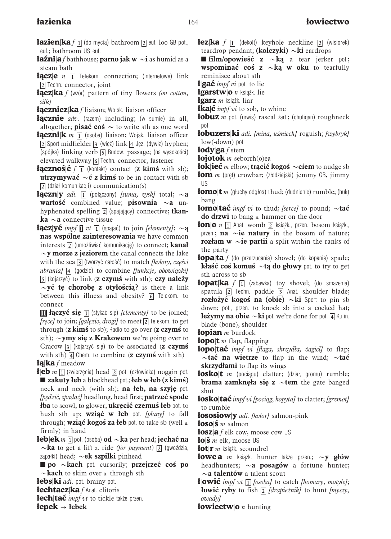- **łazien|ka**  $f[1]$  (do mycia) bathroom  $\boxed{2}$  euf. loo GB pot., euf.; bathroom US euf.
- **łaźni**|**a** f bathhouse; **parno jak w**  $\sim$ **i** as humid as a steam bath
- **łącz** $|e \nmid n \nmid 1$  Telekom. connection; (internetowe) link [2] Techn. connector, joint
- **łącz** $\kappa$ **a** f (wzór) pattern of tiny flowers (on cotton, silk)
- **łącznicz|ka** f liaison; Wojsk. liaison officer
- **łącznie** adv. (razem) including; (w sumie) in all, altogether; **pisac´ cos**  $\sim$  to write sth as one word
- **łączni**|**k** *m*  $\prod$  (osoba) liaison; Wojsk. liaison officer  $\boxed{2}$  Sport midfielder  $\boxed{3}$  (więź) link  $\boxed{4}$  Jęz. (dywiz) hyphen; (spójka) linking verb  $\overline{5}$  Budow. passage; (na wysokości) elevated walkway [6] Techn. connector, fastener
- **łącznoś** $|\mathbf{c} f|$  (kontakt) contact (z kimś with sb); **utrzymywać**  $\sim$ **ć z kims** to be in contact with sb (dział komunikacji) communication(s)
- **łączn**|y *adi.*  $\Pi$  (połączony) *[suma, zysk]* total;  $\sim$ **a** wartość combined value; pisownia  $\sim$ a unhyphenated spelling  $\boxed{2}$  (spajający) connective; **tkanka**  $\sim$ **a** connective tissue
- **łącz**|**yć** *impf*  $\blacksquare$  *vt*  $\blacksquare$  (spajać) to join *[elementy]*;  $\sim$ **ą** nas wspólne zainteresowania we have common interests [2] (umożliwiać komunikację) to connect; kanał  $\sim$ y morze z jeziorem the canal connects the lake with the sea  $\overline{3}$  (tworzyć całość) to match *[kolory, cześci*  $ubrania$ [4] (godzić) to combine [funkcje, obowiazki]  $\overline{5}$  (kojarzyć) to link (z czymś with sth); czy należy  $\sim$ yć te chorobe z otyłościa? is there a link between this illness and obesity? [6] Telekom. to connect

**III łączyć się**  $\overline{1}$  (stykać się) *[elementy]* to be joined; [rece] to join; [gałęzie, drogi] to meet  $\boxed{2}$ ] Telekom. to get through  $(z \text{ kims' to sb})$ ; Radio to go over  $(z \text{ czyms' to }$ sth);  $\sim$ ymy się z Krakowem we're going over to Cracow  $\boxed{3}$  (kojarzyć się) to be associated (z czymś with sth)  $\boxed{4}$  Chem. to combine (**z czymś** with sth)  $|{\bf k}|$ ka f meadow

**ł|eb** m  $\overline{1}$  (zwierzecia) head  $\overline{2}$  pot. (człowieka) noggin pot.  $\blacksquare$  zakuty łeb a blockhead pot.; łeb w łeb (z kimś) neck and neck (with sb); na łeb, na szyję pot. [pedzić, spadać] headlong, head first; patrzeć spode łba to scowl, to glower; ukręcić czemuś łeb pot. to hush sth up; wziąć w łeb pot. [plany] to fall through; wziąć kogoś za łeb pot. to take sb (well a. firmly) in hand

- **łeb**|**ek** *m*  $\Pi$  pot. (osoba) **od**  $\sim$ **ka** per head; **jechać na**  $\sim$ **ka** to get a lift a. ride *(for payment)* [2] (gwoździa, zapałki) head;  $\sim$ ek szpilki pinhead
- $\Box$  po  $\sim$  kach pot. cursorily; przejrzeć cos po  $\sim$ **kach** to skim over a. through sth
- łebs|ki *adi*. pot. brainy pot.
- łechtacz|ka f Anat. clitoris
- **łech|tać** *impf vt* to tickle także przen.

 $\text{lepek} \rightarrow \text{lebek}$ 

- **łez|ka** f  $\overline{1}$  (dekolt) keyhole neckline  $\overline{2}$  (wisiorek) teardrop pendant; (kolczyki)  $\sim$ ki eardrops
- **n film/opowiesć z**  $\sim$ **ka** a tear jerker pot.; wspominac<sup>c</sup> cos<sup> $z \sim k$ a w oku to tearfully</sup> reminisce about sth
- ł $\left| \right|$ gać *impf vi* pot. to lie
- łgarstw $|o \rangle$ *n* książk. lie
- **łgarz** *m* książk. liar
- **łka** $\boldsymbol{\varepsilon}$  *impf vi* to sob, to whine
- **łobuz** *m* pot. (urwis) rascal żart.; (chuligan) roughneck pot.
- **łobuzers|ki** adi. [mina, uśmiech] roguish; [wybryk] low(-down) pot.
- łody|ga f stem
- **łojotok** m seborrh $(o)$ ea
- **łok|iec**<sup>m</sup> elbow; tracić kogos´ ~ciem to nudge sb **łom** *m* (pret) crowbar; (złodziejski) jemmy GB, jimmy US
- **łomo** $\mathbf{t}$  *m* (głuchy odgłos) thud; (dudnienie) rumble; (huk) bang
- **łomo|tać** *impf vi* to thud; [serce] to pound;  $\sim$ **tać** do drzwi to bang a. hammer on the door
- **łon|o**  $n \Pi$  Anat. womb  $\boxed{2}$  książk., przen. bosom książk., przen.; **na**  $\sim$ **ie natury** in the bosom of nature; rozłam  $w \sim i$ e partii a split within the ranks of the party
- **łopa|ta** f (do przerzucania) shovel; (do kopania) spade; kłaść coś komuś ~tą do głowy pot. to try to get sth across to sb
- **łopat** $k$ **a** f  $\overline{1}$  (zabawka) toy shovel; (do smażenia) spatula  $\boxed{2}$  Techn. paddle  $\boxed{3}$  Anat. shoulder blade; rozłożyć kogoś na (obie)  $\sim$ ki Sport to pin sb down; pot., przen. to knock sb into a cocked hat; **leżymy na obie**  $\sim$ **ki** pot. we're done for pot. [4] Kulin. blade (bone), shoulder
- łopian *m* burdock
- **łopo|t** *m* flap, flapping
- **łopo|tać** *impf vi [flaga, skrzydła, żagiel]* to flap;  $\sim$ tać na wietrze to flap in the wind;  $\sim$ tać skrzydłami to flap its wings
- **łosko** $|t$  *m* (pociągu) clatter; (dział, gromu) rumble; brama zamknęła się z  $\sim$ tem the gate banged shut
- **łosko|tać** *impf vi [pociag, kopyta]* to clatter; [grzmot] to rumble
- **łososiow|y** adi. [kolor] salmon-pink

łoso|ś *m* salmon

- łosz|a f elk cow, moose cow US
- $\log \mathbf{s}$  m elk, moose US
- łot $|\mathbf{r}|$  *m* książk. scoundrel
- **łowc**|**a** *m* książk. hunter także przen.;  $\sim$ **y głów** headhunters;  $\sim a$  posagów a fortune hunter;  $\sim$ a talentów a talent scout
- **ł**|owić *impf vt*  $\overline{1}$  [osoba] to catch [homary, motyle]; **łowić ryby** to fish  $\boxed{2}$  [drapieżnik] to hunt [myszy, owady]
- **łowiectw** $|o\>n$  hunting